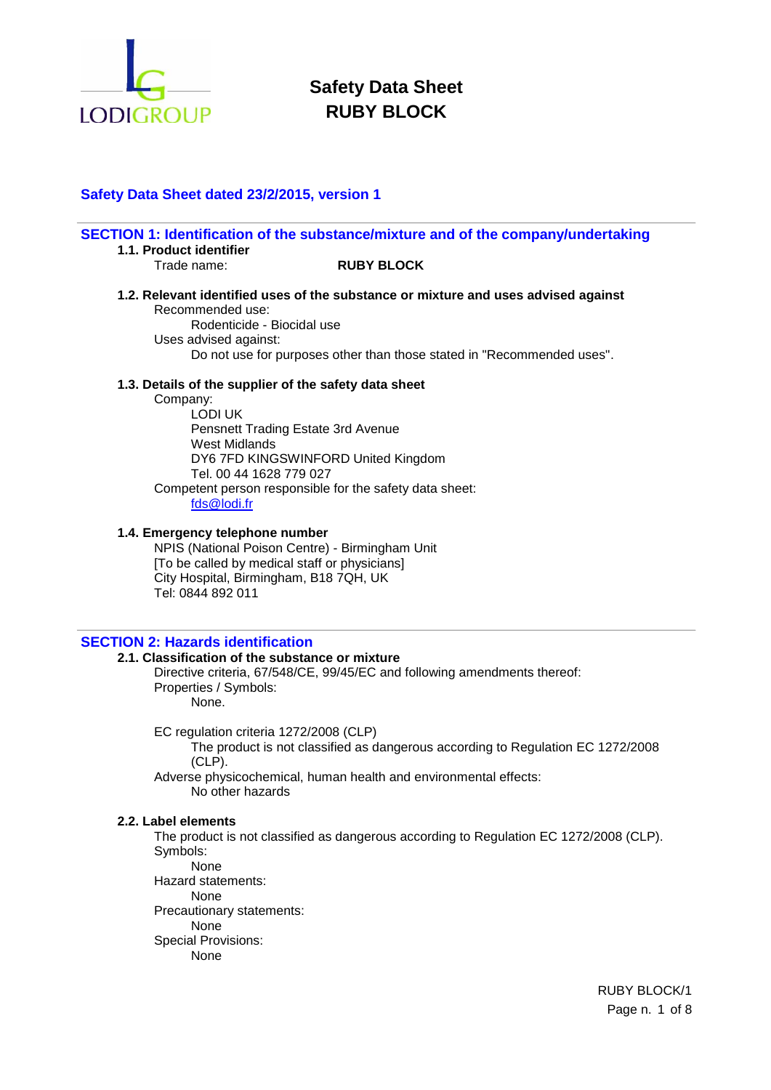

## **Safety Data Sheet dated 23/2/2015, version 1**

|                                                                        | SECTION 1: Identification of the substance/mixture and of the company/undertaking  |
|------------------------------------------------------------------------|------------------------------------------------------------------------------------|
| 1.1. Product identifier<br>Trade name:                                 | <b>RUBY BLOCK</b>                                                                  |
| Recommended use:                                                       | 1.2. Relevant identified uses of the substance or mixture and uses advised against |
| Rodenticide - Biocidal use<br>Uses advised against:                    |                                                                                    |
|                                                                        | Do not use for purposes other than those stated in "Recommended uses".             |
| 1.3. Details of the supplier of the safety data sheet                  |                                                                                    |
| Company:                                                               |                                                                                    |
| LODI UK<br>Pensnett Trading Estate 3rd Avenue<br>West Midlands         |                                                                                    |
| DY6 7FD KINGSWINFORD United Kingdom<br>Tel. 00 44 1628 779 027         |                                                                                    |
| Competent person responsible for the safety data sheet:<br>fds@lodi.fr |                                                                                    |
| 1.4. Emergency telephone number                                        |                                                                                    |

NPIS (National Poison Centre) - Birmingham Unit [To be called by medical staff or physicians] City Hospital, Birmingham, B18 7QH, UK Tel: 0844 892 011

## **SECTION 2: Hazards identification**

### **2.1. Classification of the substance or mixture**

Directive criteria, 67/548/CE, 99/45/EC and following amendments thereof: Properties / Symbols: None.

EC regulation criteria 1272/2008 (CLP)

The product is not classified as dangerous according to Regulation EC 1272/2008 (CLP).

Adverse physicochemical, human health and environmental effects: No other hazards

#### **2.2. Label elements**

The product is not classified as dangerous according to Regulation EC 1272/2008 (CLP). Symbols:

None Hazard statements: None Precautionary statements: None Special Provisions: None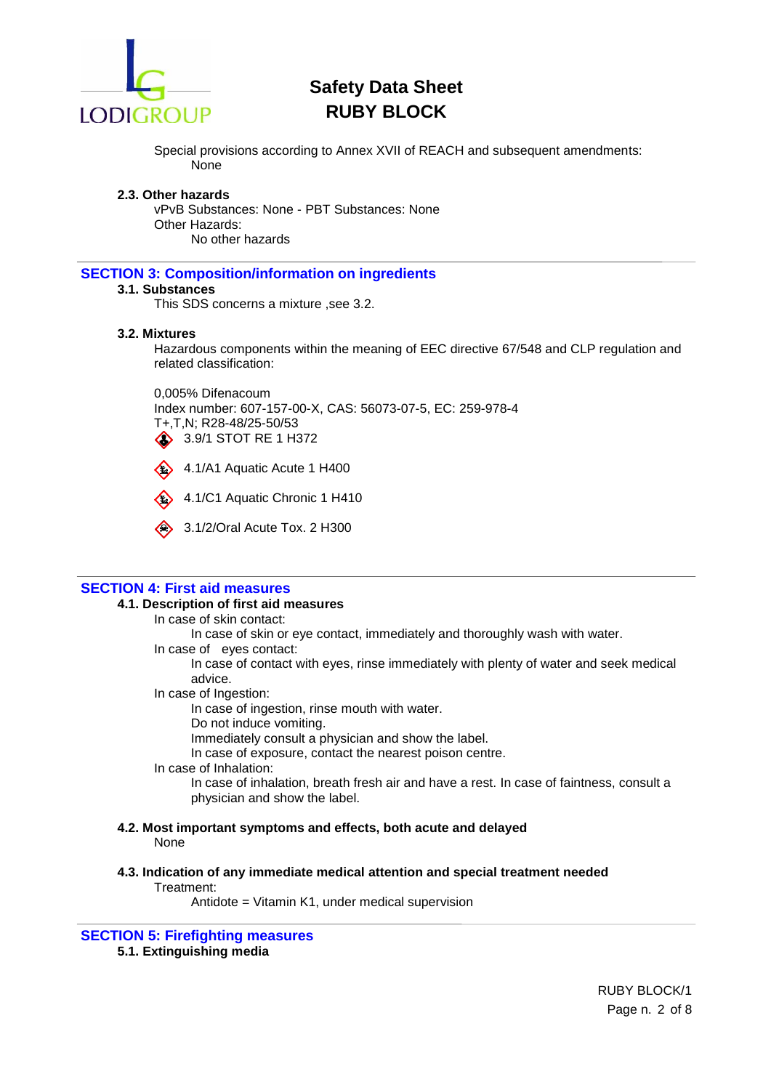

Special provisions according to Annex XVII of REACH and subsequent amendments: None

#### **2.3. Other hazards**

vPvB Substances: None - PBT Substances: None Other Hazards: No other hazards

## **SECTION 3: Composition/information on ingredients**

## **3.1. Substances**

This SDS concerns a mixture ,see 3.2.

#### **3.2. Mixtures**

Hazardous components within the meaning of EEC directive 67/548 and CLP regulation and related classification:

0,005% Difenacoum Index number: 607-157-00-X, CAS: 56073-07-5, EC: 259-978-4 T+,T,N; R28-48/25-50/53 3.9/1 STOT RE 1 H372

4.1/A1 Aquatic Acute 1 H400

4.1/C1 Aquatic Chronic 1 H410

 $\quad \Leftrightarrow \quad$  3.1/2/Oral Acute Tox. 2 H300

## **SECTION 4: First aid measures**

## **4.1. Description of first aid measures**

In case of skin contact:

In case of skin or eye contact, immediately and thoroughly wash with water.

In case of eyes contact:

In case of contact with eyes, rinse immediately with plenty of water and seek medical advice.

In case of Ingestion:

In case of ingestion, rinse mouth with water.

Do not induce vomiting.

Immediately consult a physician and show the label.

In case of exposure, contact the nearest poison centre.

In case of Inhalation:

In case of inhalation, breath fresh air and have a rest. In case of faintness, consult a physician and show the label.

- **4.2. Most important symptoms and effects, both acute and delayed** None
- **4.3. Indication of any immediate medical attention and special treatment needed** Treatment:

Antidote = Vitamin K1, under medical supervision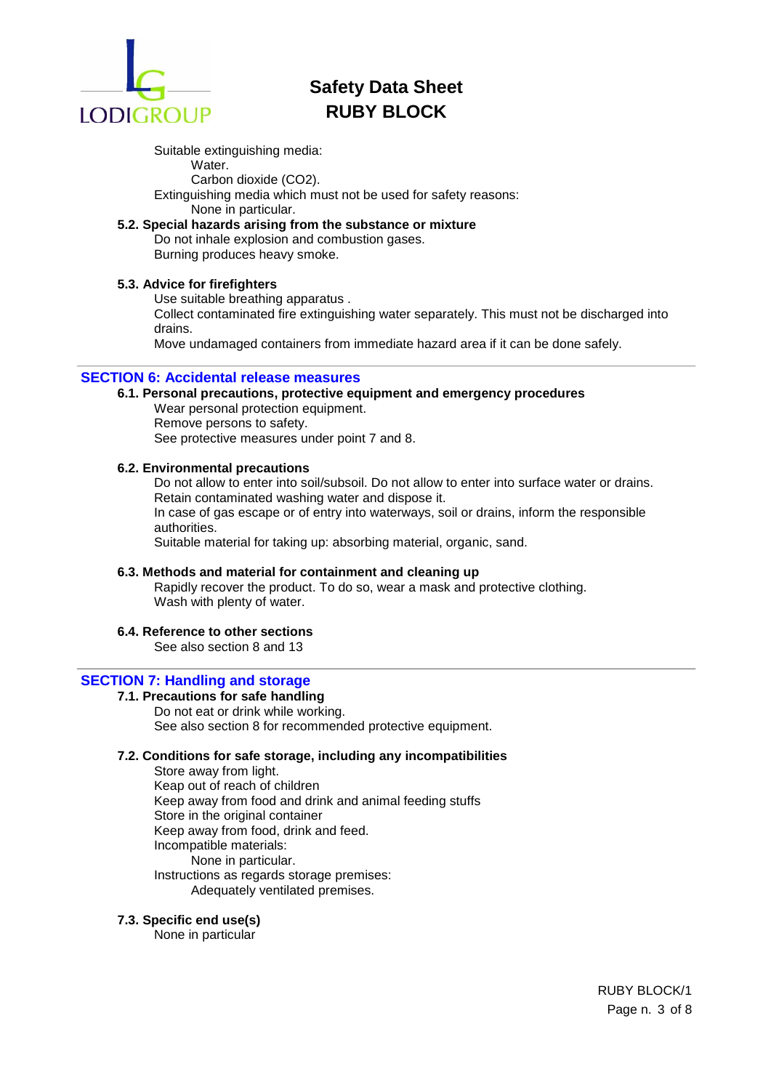

Suitable extinguishing media:

Water.

Carbon dioxide (CO2). Extinguishing media which must not be used for safety reasons:

None in particular.

## **5.2. Special hazards arising from the substance or mixture**

Do not inhale explosion and combustion gases. Burning produces heavy smoke.

## **5.3. Advice for firefighters**

Use suitable breathing apparatus .

Collect contaminated fire extinguishing water separately. This must not be discharged into drains.

Move undamaged containers from immediate hazard area if it can be done safely.

## **SECTION 6: Accidental release measures**

- **6.1. Personal precautions, protective equipment and emergency procedures**
	- Wear personal protection equipment. Remove persons to safety. See protective measures under point 7 and 8.

## **6.2. Environmental precautions**

Do not allow to enter into soil/subsoil. Do not allow to enter into surface water or drains. Retain contaminated washing water and dispose it.

In case of gas escape or of entry into waterways, soil or drains, inform the responsible authorities.

Suitable material for taking up: absorbing material, organic, sand.

## **6.3. Methods and material for containment and cleaning up**

Rapidly recover the product. To do so, wear a mask and protective clothing. Wash with plenty of water.

## **6.4. Reference to other sections**

See also section 8 and 13

## **SECTION 7: Handling and storage**

**7.1. Precautions for safe handling** Do not eat or drink while working. See also section 8 for recommended protective equipment.

## **7.2. Conditions for safe storage, including any incompatibilities**

Store away from light. Keap out of reach of children Keep away from food and drink and animal feeding stuffs Store in the original container Keep away from food, drink and feed. Incompatible materials: None in particular. Instructions as regards storage premises: Adequately ventilated premises.

## **7.3. Specific end use(s)**

None in particular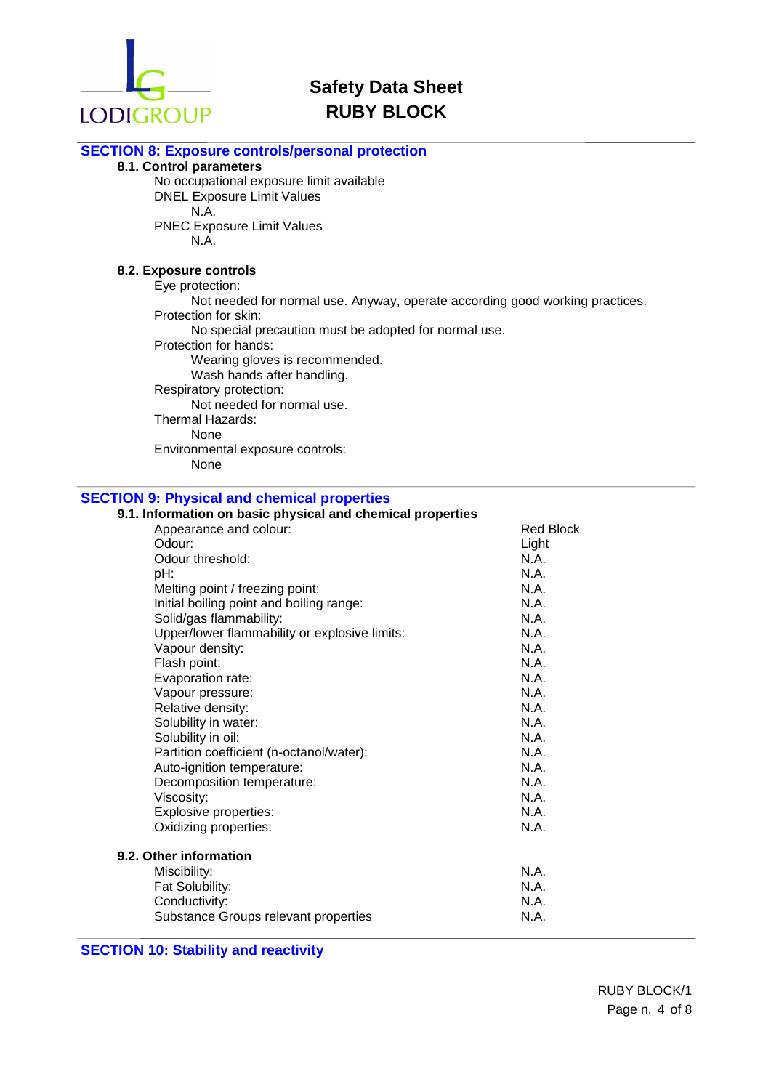

## **SECTION 8: Exposure controls/personal protection**

## **8.1. Control parameters**

No occupational exposure limit available DNEL Exposure Limit Values N.A. PNEC Exposure Limit Values

N.A.

## **8.2. Exposure controls**

Eye protection:

Not needed for normal use. Anyway, operate according good working practices. Protection for skin:

No special precaution must be adopted for normal use.

Protection for hands:

Wearing gloves is recommended.

Wash hands after handling.

Respiratory protection:

Not needed for normal use.

Thermal Hazards:

None

Environmental exposure controls:

None

## **SECTION 9: Physical and chemical properties**

# **9.1. Information on basic physical and chemical properties**

| Appearance and colour:                        | <b>Red Block</b> |
|-----------------------------------------------|------------------|
| Odour:                                        | Light            |
| Odour threshold:                              | N.A.             |
| pH:                                           | N.A.             |
| Melting point / freezing point:               | N.A.             |
| Initial boiling point and boiling range:      | N.A.             |
| Solid/gas flammability:                       | N.A.             |
| Upper/lower flammability or explosive limits: | N.A.             |
| Vapour density:                               | N.A.             |
| Flash point:                                  | N.A.             |
| Evaporation rate:                             | N.A.             |
| Vapour pressure:                              | N.A.             |
| Relative density:                             | N.A.             |
| Solubility in water:                          | N.A.             |
| Solubility in oil:                            | N.A.             |
| Partition coefficient (n-octanol/water):      | N.A.             |
| Auto-ignition temperature:                    | N.A.             |
| Decomposition temperature:                    | N.A.             |
| Viscosity:                                    | N.A.             |
| <b>Explosive properties:</b>                  | N.A.             |
| Oxidizing properties:                         | N.A.             |
| 9.2. Other information                        |                  |
| Miscibility:                                  | N.A.             |
| Fat Solubility:                               | N.A.             |
| Conductivity:                                 | N.A.             |
| Substance Groups relevant properties          | N.A.             |
|                                               |                  |

## **SECTION 10: Stability and reactivity**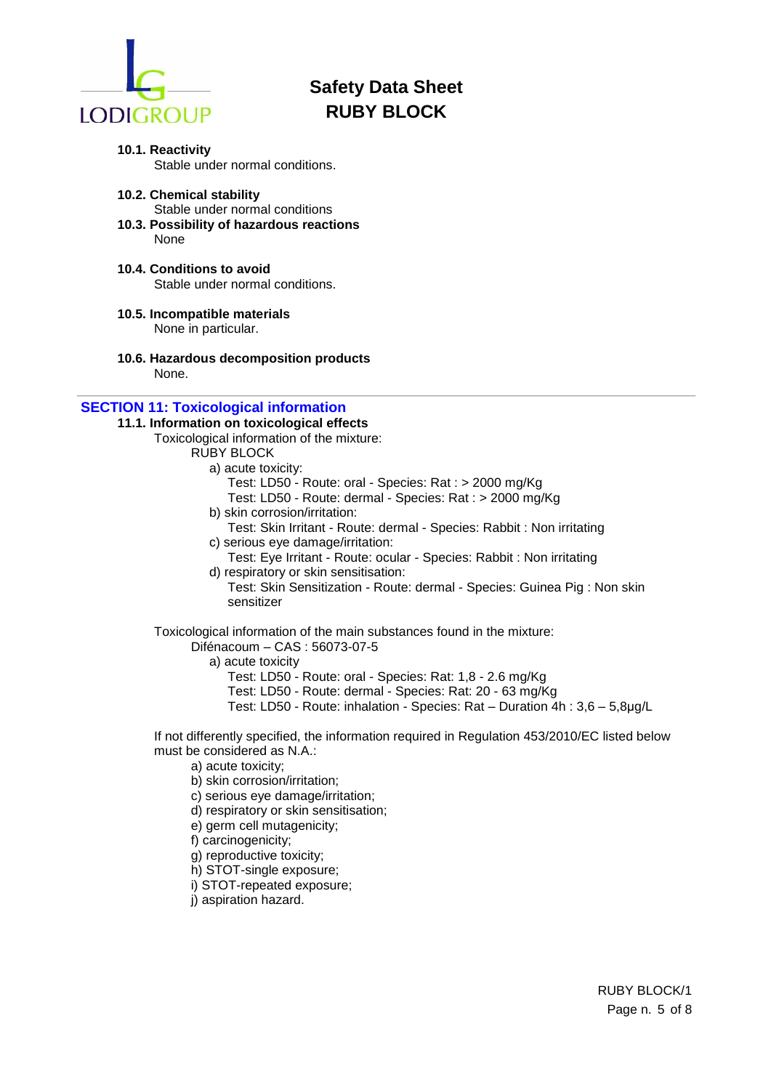

- **10.1. Reactivity** Stable under normal conditions.
- **10.2. Chemical stability** Stable under normal conditions **10.3. Possibility of hazardous reactions**
- None
- **10.4. Conditions to avoid** Stable under normal conditions.
- **10.5. Incompatible materials** None in particular.
- **10.6. Hazardous decomposition products** None.

## **SECTION 11: Toxicological information**

- **11.1. Information on toxicological effects**
	- Toxicological information of the mixture:

### RUBY BLOCK

- a) acute toxicity:
	- Test: LD50 Route: oral Species: Rat : > 2000 mg/Kg
	- Test: LD50 Route: dermal Species: Rat : > 2000 mg/Kg
- b) skin corrosion/irritation:
- Test: Skin Irritant Route: dermal Species: Rabbit : Non irritating c) serious eye damage/irritation:
- Test: Eye Irritant Route: ocular Species: Rabbit : Non irritating d) respiratory or skin sensitisation:
- Test: Skin Sensitization Route: dermal Species: Guinea Pig : Non skin sensitizer

Toxicological information of the main substances found in the mixture:

- Difénacoum CAS : 56073-07-5
	- a) acute toxicity
		- Test: LD50 Route: oral Species: Rat: 1,8 2.6 mg/Kg
		- Test: LD50 Route: dermal Species: Rat: 20 63 mg/Kg
		- Test: LD50 Route: inhalation Species: Rat Duration 4h : 3,6 5,8μg/L

If not differently specified, the information required in Regulation 453/2010/EC listed below must be considered as N.A.:

- a) acute toxicity;
- b) skin corrosion/irritation;
- c) serious eye damage/irritation;
- d) respiratory or skin sensitisation;
- e) germ cell mutagenicity;
- f) carcinogenicity;
- g) reproductive toxicity;
- h) STOT-single exposure;
- i) STOT-repeated exposure;
- j) aspiration hazard.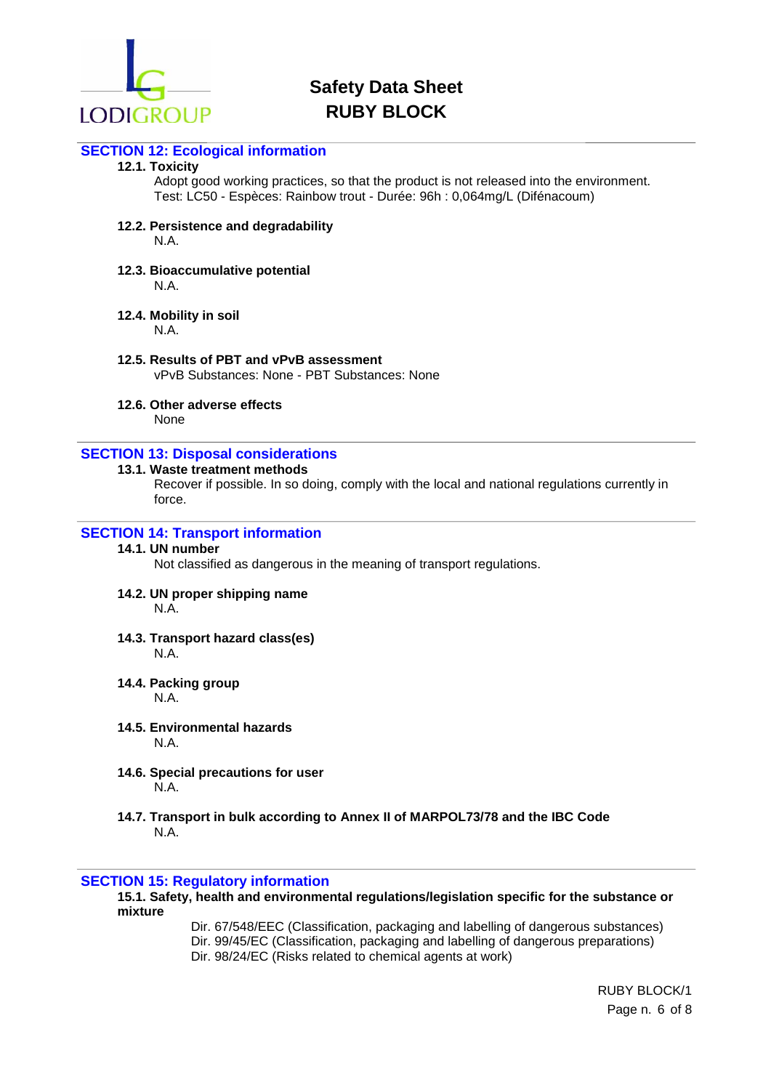

## **SECTION 12: Ecological information**

### **12.1. Toxicity**

Adopt good working practices, so that the product is not released into the environment. Test: LC50 - Espèces: Rainbow trout - Durée: 96h : 0,064mg/L (Difénacoum)

### **12.2. Persistence and degradability**

N.A.

**12.3. Bioaccumulative potential** N.A.

## **12.4. Mobility in soil**

N.A.

**12.5. Results of PBT and vPvB assessment**

vPvB Substances: None - PBT Substances: None

## **12.6. Other adverse effects**

None

## **SECTION 13: Disposal considerations**

## **13.1. Waste treatment methods**

Recover if possible. In so doing, comply with the local and national regulations currently in force.

## **SECTION 14: Transport information**

#### **14.1. UN number**

Not classified as dangerous in the meaning of transport regulations.

**14.2. UN proper shipping name**

N.A.

- **14.3. Transport hazard class(es)**  N.A.
- **14.4. Packing group**

N.A.

- **14.5. Environmental hazards** N.A.
- **14.6. Special precautions for user** N.A.
- **14.7. Transport in bulk according to Annex II of MARPOL73/78 and the IBC Code** N.A.

## **SECTION 15: Regulatory information**

**15.1. Safety, health and environmental regulations/legislation specific for the substance or mixture**

Dir. 67/548/EEC (Classification, packaging and labelling of dangerous substances) Dir. 99/45/EC (Classification, packaging and labelling of dangerous preparations) Dir. 98/24/EC (Risks related to chemical agents at work)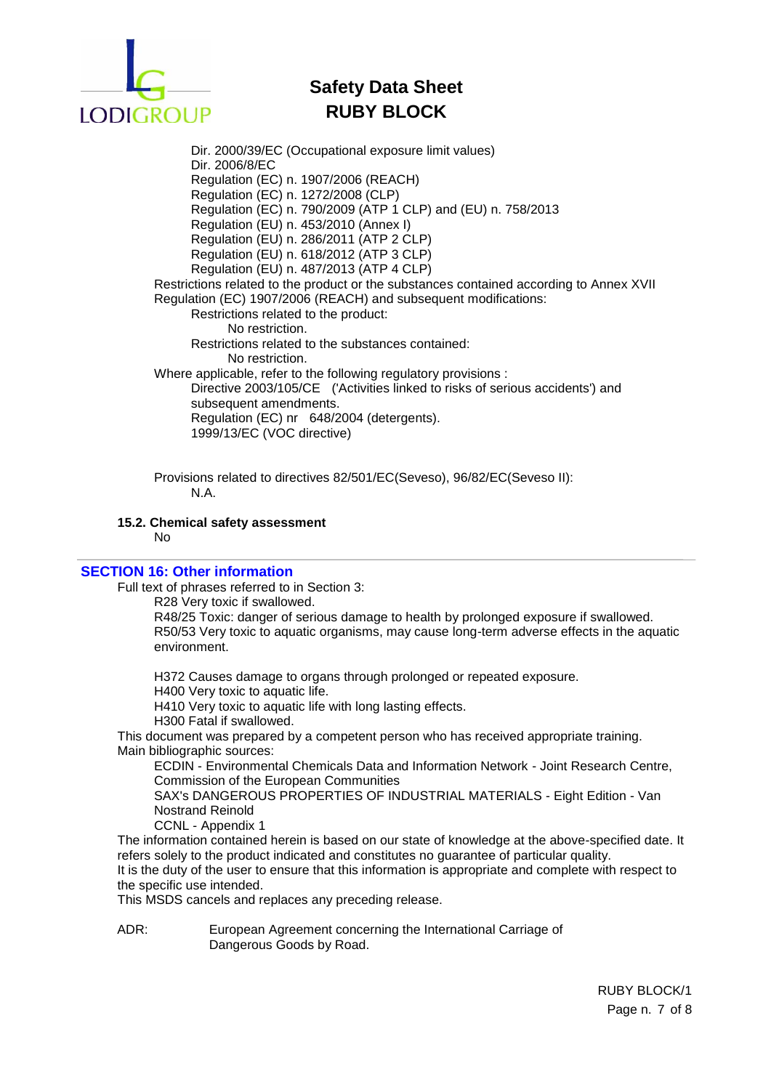

Dir. 2000/39/EC (Occupational exposure limit values) Dir. 2006/8/EC Regulation (EC) n. 1907/2006 (REACH) Regulation (EC) n. 1272/2008 (CLP) Regulation (EC) n. 790/2009 (ATP 1 CLP) and (EU) n. 758/2013 Regulation (EU) n. 453/2010 (Annex I) Regulation (EU) n. 286/2011 (ATP 2 CLP) Regulation (EU) n. 618/2012 (ATP 3 CLP) Regulation (EU) n. 487/2013 (ATP 4 CLP) Restrictions related to the product or the substances contained according to Annex XVII Regulation (EC) 1907/2006 (REACH) and subsequent modifications: Restrictions related to the product: No restriction. Restrictions related to the substances contained: No restriction. Where applicable, refer to the following regulatory provisions : Directive 2003/105/CE ('Activities linked to risks of serious accidents') and subsequent amendments. Regulation (EC) nr 648/2004 (detergents). 1999/13/EC (VOC directive)

Provisions related to directives 82/501/EC(Seveso), 96/82/EC(Seveso II): N.A.

#### **15.2. Chemical safety assessment**

No

#### **SECTION 16: Other information**

Full text of phrases referred to in Section 3:

R28 Very toxic if swallowed.

R48/25 Toxic: danger of serious damage to health by prolonged exposure if swallowed. R50/53 Very toxic to aquatic organisms, may cause long-term adverse effects in the aquatic environment.

H372 Causes damage to organs through prolonged or repeated exposure.

H400 Very toxic to aquatic life.

H410 Very toxic to aquatic life with long lasting effects.

H300 Fatal if swallowed.

This document was prepared by a competent person who has received appropriate training. Main bibliographic sources:

ECDIN - Environmental Chemicals Data and Information Network - Joint Research Centre, Commission of the European Communities

SAX's DANGEROUS PROPERTIES OF INDUSTRIAL MATERIALS - Eight Edition - Van Nostrand Reinold

CCNL - Appendix 1

The information contained herein is based on our state of knowledge at the above-specified date. It refers solely to the product indicated and constitutes no guarantee of particular quality. It is the duty of the user to ensure that this information is appropriate and complete with respect to

the specific use intended.

This MSDS cancels and replaces any preceding release.

ADR: European Agreement concerning the International Carriage of Dangerous Goods by Road.